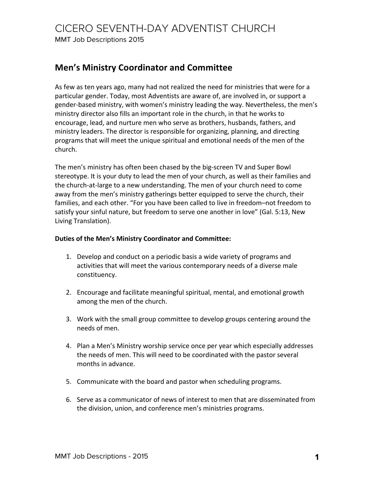MMT Job Descriptions 2015

# **Men's Ministry Coordinator and Committee**

As few as ten years ago, many had not realized the need for ministries that were for a particular gender. Today, most Adventists are aware of, are involved in, or support a gender-based ministry, with women's ministry leading the way. Nevertheless, the men's ministry director also fills an important role in the church, in that he works to encourage, lead, and nurture men who serve as brothers, husbands, fathers, and ministry leaders. The director is responsible for organizing, planning, and directing programs that will meet the unique spiritual and emotional needs of the men of the church.

The men's ministry has often been chased by the big-screen TV and Super Bowl stereotype. It is your duty to lead the men of your church, as well as their families and the church-at-large to a new understanding. The men of your church need to come away from the men's ministry gatherings better equipped to serve the church, their families, and each other. "For you have been called to live in freedom–not freedom to satisfy your sinful nature, but freedom to serve one another in love" (Gal. 5:13, New Living Translation).

## Duties of the Men's Ministry Coordinator and Committee:

- 1. Develop and conduct on a periodic basis a wide variety of programs and activities that will meet the various contemporary needs of a diverse male constituency.
- 2. Encourage and facilitate meaningful spiritual, mental, and emotional growth among the men of the church.
- 3. Work with the small group committee to develop groups centering around the needs of men.
- 4. Plan a Men's Ministry worship service once per year which especially addresses the needs of men. This will need to be coordinated with the pastor several months in advance.
- 5. Communicate with the board and pastor when scheduling programs.
- 6. Serve as a communicator of news of interest to men that are disseminated from the division, union, and conference men's ministries programs.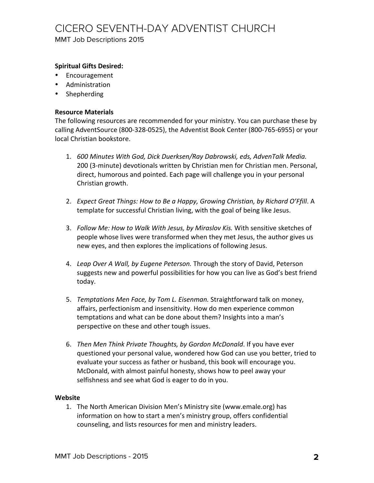# CICERO SEVENTH-DAY ADVENTIST CHURCH

MMT Job Descriptions 2015

## **Spiritual Gifts Desired:**

- Encouragement
- Administration
- Shepherding

### **Resource Materials**

The following resources are recommended for your ministry. You can purchase these by calling AdventSource (800-328-0525), the Adventist Book Center (800-765-6955) or your local Christian bookstore.

- 1. 600 Minutes With God, Dick Duerksen/Ray Dabrowski, eds, AdvenTalk Media. 200 (3-minute) devotionals written by Christian men for Christian men. Personal, direct, humorous and pointed. Each page will challenge you in your personal Christian growth.
- 2. *Expect Great Things: How to Be a Happy, Growing Christian, by Richard O'Ffill.* A template for successful Christian living, with the goal of being like Jesus.
- 3. Follow Me: How to Walk With Jesus, by Miraslov Kis. With sensitive sketches of people whose lives were transformed when they met Jesus, the author gives us new eyes, and then explores the implications of following Jesus.
- 4. Leap Over A Wall, by Eugene Peterson. Through the story of David, Peterson suggests new and powerful possibilities for how you can live as God's best friend today.
- 5. *Temptations Men Face, by Tom L. Eisenman.* Straightforward talk on money, affairs, perfectionism and insensitivity. How do men experience common temptations and what can be done about them? Insights into a man's perspective on these and other tough issues.
- 6. *Then Men Think Private Thoughts, by Gordon McDonald*. If you have ever questioned your personal value, wondered how God can use you better, tried to evaluate your success as father or husband, this book will encourage you. McDonald, with almost painful honesty, shows how to peel away your selfishness and see what God is eager to do in you.

#### **Website**

1. The North American Division Men's Ministry site (www.emale.org) has information on how to start a men's ministry group, offers confidential counseling, and lists resources for men and ministry leaders.